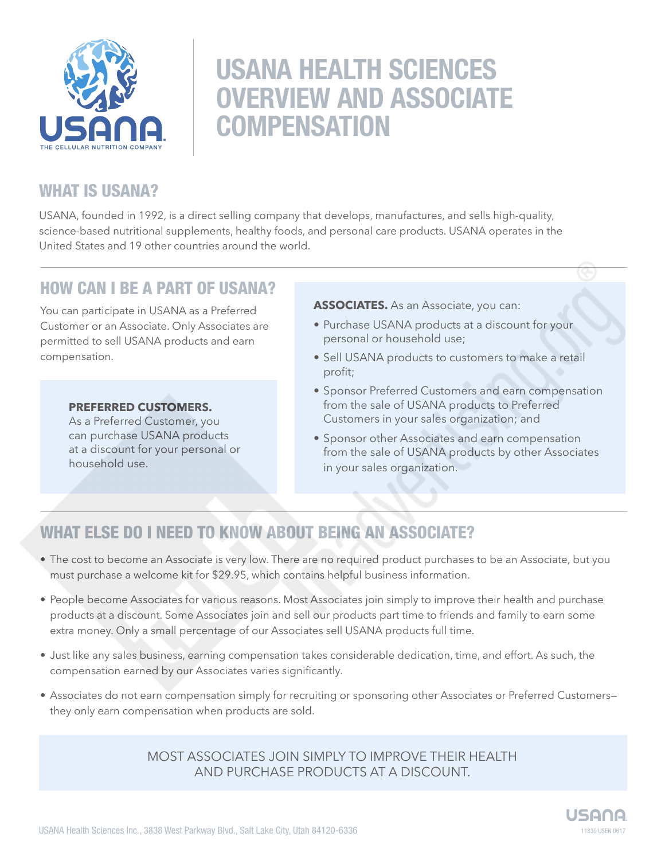

# USANA HEALTH SCIENCES OVERVIEW AND ASSOCIATE **COMPENSATION**

# WHAT IS USANA?

USANA, founded in 1992, is a direct selling company that develops, manufactures, and sells high-quality, science-based nutritional supplements, healthy foods, and personal care products. USANA operates in the United States and 19 other countries around the world.

### HOW CAN I BE A PART OF USANA?

You can participate in USANA as a Preferred Customer or an Associate. Only Associates are permitted to sell USANA products and earn compensation.

### **PREFERRED CUSTOMERS.**

As a Preferred Customer, you can purchase USANA products at a discount for your personal or household use.

### **ASSOCIATES.** As an Associate, you can:

- Purchase USANA products at a discount for your personal or household use;
- Sell USANA products to customers to make a retail profit;
- Sponsor Preferred Customers and earn compensation from the sale of USANA products to Preferred Customers in your sales organization; and
- Sponsor other Associates and earn compensation from the sale of USANA products by other Associates in your sales organization.

# WHAT ELSE DO I NEED TO KNOW ABOUT BEING AN ASSOCIATE?

- The cost to become an Associate is very low. There are no required product purchases to be an Associate, but you must purchase a welcome kit for \$29.95, which contains helpful business information.
- People become Associates for various reasons. Most Associates join simply to improve their health and purchase products at a discount. Some Associates join and sell our products part time to friends and family to earn some extra money. Only a small percentage of our Associates sell USANA products full time.
- Just like any sales business, earning compensation takes considerable dedication, time, and effort. As such, the compensation earned by our Associates varies significantly.
- Associates do not earn compensation simply for recruiting or sponsoring other Associates or Preferred Customers they only earn compensation when products are sold.

MOST ASSOCIATES JOIN SIMPLY TO IMPROVE THEIR HEALTH AND PURCHASE PRODUCTS AT A DISCOUNT.